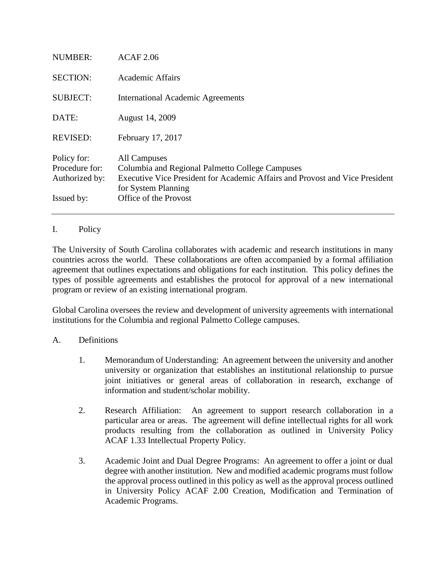| <b>NUMBER:</b>                                                | <b>ACAF 2.06</b>                                                                                                                                                                                |  |  |
|---------------------------------------------------------------|-------------------------------------------------------------------------------------------------------------------------------------------------------------------------------------------------|--|--|
| <b>SECTION:</b>                                               | Academic Affairs                                                                                                                                                                                |  |  |
| <b>SUBJECT:</b>                                               | <b>International Academic Agreements</b>                                                                                                                                                        |  |  |
| DATE:                                                         | August 14, 2009                                                                                                                                                                                 |  |  |
| <b>REVISED:</b>                                               | February 17, 2017                                                                                                                                                                               |  |  |
| Policy for:<br>Procedure for:<br>Authorized by:<br>Issued by: | All Campuses<br>Columbia and Regional Palmetto College Campuses<br>Executive Vice President for Academic Affairs and Provost and Vice President<br>for System Planning<br>Office of the Provost |  |  |

## I. Policy

The University of South Carolina collaborates with academic and research institutions in many countries across the world. These collaborations are often accompanied by a formal affiliation agreement that outlines expectations and obligations for each institution. This policy defines the types of possible agreements and establishes the protocol for approval of a new international program or review of an existing international program.

Global Carolina oversees the review and development of university agreements with international institutions for the Columbia and regional Palmetto College campuses.

## A. Definitions

- 1. Memorandum of Understanding: An agreement between the university and another university or organization that establishes an institutional relationship to pursue joint initiatives or general areas of collaboration in research, exchange of information and student/scholar mobility.
- 2. Research Affiliation: An agreement to support research collaboration in a particular area or areas. The agreement will define intellectual rights for all work products resulting from the collaboration as outlined in University Policy ACAF 1.33 Intellectual Property Policy.
- 3. Academic Joint and Dual Degree Programs: An agreement to offer a joint or dual degree with another institution. New and modified academic programs must follow the approval process outlined in this policy as well as the approval process outlined in University Policy ACAF 2.00 Creation, Modification and Termination of Academic Programs.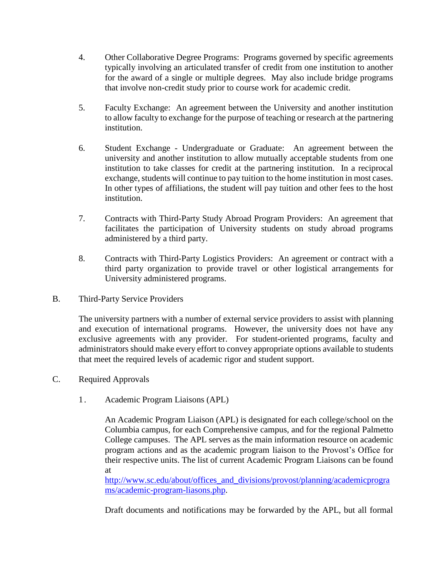- 4. Other Collaborative Degree Programs: Programs governed by specific agreements typically involving an articulated transfer of credit from one institution to another for the award of a single or multiple degrees. May also include bridge programs that involve non-credit study prior to course work for academic credit.
- 5. Faculty Exchange: An agreement between the University and another institution to allow faculty to exchange for the purpose of teaching or research at the partnering institution.
- 6. Student Exchange Undergraduate or Graduate: An agreement between the university and another institution to allow mutually acceptable students from one institution to take classes for credit at the partnering institution. In a reciprocal exchange, students will continue to pay tuition to the home institution in most cases. In other types of affiliations, the student will pay tuition and other fees to the host institution.
- 7. Contracts with Third-Party Study Abroad Program Providers: An agreement that facilitates the participation of University students on study abroad programs administered by a third party.
- 8. Contracts with Third-Party Logistics Providers: An agreement or contract with a third party organization to provide travel or other logistical arrangements for University administered programs.
- B. Third-Party Service Providers

The university partners with a number of external service providers to assist with planning and execution of international programs. However, the university does not have any exclusive agreements with any provider. For student-oriented programs, faculty and administrators should make every effort to convey appropriate options available to students that meet the required levels of academic rigor and student support.

- C. Required Approvals
	- 1. Academic Program Liaisons (APL)

An Academic Program Liaison (APL) is designated for each college/school on the Columbia campus, for each Comprehensive campus, and for the regional Palmetto College campuses. The APL serves as the main information resource on academic program actions and as the academic program liaison to the Provost's Office for their respective units. The list of current Academic Program Liaisons can be found at

[http://www.sc.edu/about/offices\\_and\\_divisions/provost/planning/academicprogra](http://www.sc.edu/about/offices_and_divisions/provost/planning/academicprograms/academic-program-liasons.php) [ms/academic-program-liasons.php.](http://www.sc.edu/about/offices_and_divisions/provost/planning/academicprograms/academic-program-liasons.php)

Draft documents and notifications may be forwarded by the APL, but all formal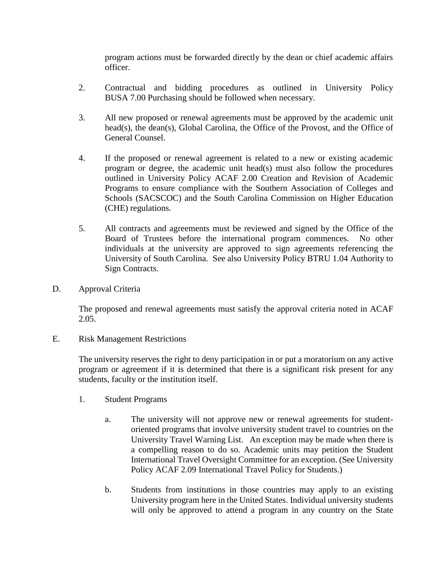program actions must be forwarded directly by the dean or chief academic affairs officer.

- 2. Contractual and bidding procedures as outlined in University Policy BUSA 7.00 Purchasing should be followed when necessary.
- 3. All new proposed or renewal agreements must be approved by the academic unit head(s), the dean(s), Global Carolina, the Office of the Provost, and the Office of General Counsel.
- 4. If the proposed or renewal agreement is related to a new or existing academic program or degree, the academic unit head(s) must also follow the procedures outlined in University Policy ACAF 2.00 Creation and Revision of Academic Programs to ensure compliance with the Southern Association of Colleges and Schools (SACSCOC) and the South Carolina Commission on Higher Education (CHE) regulations.
- 5. All contracts and agreements must be reviewed and signed by the Office of the Board of Trustees before the international program commences. No other individuals at the university are approved to sign agreements referencing the University of South Carolina. See also University Policy BTRU 1.04 Authority to Sign Contracts.
- D. Approval Criteria

The proposed and renewal agreements must satisfy the approval criteria noted in ACAF 2.05.

E. Risk Management Restrictions

The university reserves the right to deny participation in or put a moratorium on any active program or agreement if it is determined that there is a significant risk present for any students, faculty or the institution itself.

- 1. Student Programs
	- a. The university will not approve new or renewal agreements for studentoriented programs that involve university student travel to countries on the University Travel Warning List. An exception may be made when there is a compelling reason to do so. Academic units may petition the Student International Travel Oversight Committee for an exception. (See University Policy ACAF 2.09 International Travel Policy for Students.)
	- b. Students from institutions in those countries may apply to an existing University program here in the United States. Individual university students will only be approved to attend a program in any country on the State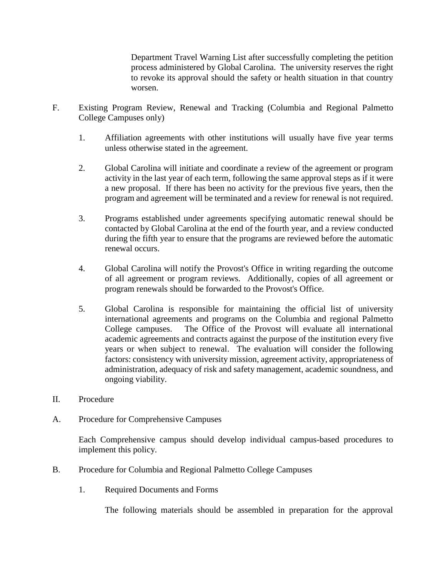Department Travel Warning List after successfully completing the petition process administered by Global Carolina. The university reserves the right to revoke its approval should the safety or health situation in that country worsen.

- F. Existing Program Review, Renewal and Tracking (Columbia and Regional Palmetto College Campuses only)
	- 1. Affiliation agreements with other institutions will usually have five year terms unless otherwise stated in the agreement.
	- 2. Global Carolina will initiate and coordinate a review of the agreement or program activity in the last year of each term, following the same approval steps as if it were a new proposal. If there has been no activity for the previous five years, then the program and agreement will be terminated and a review for renewal is not required.
	- 3. Programs established under agreements specifying automatic renewal should be contacted by Global Carolina at the end of the fourth year, and a review conducted during the fifth year to ensure that the programs are reviewed before the automatic renewal occurs.
	- 4. Global Carolina will notify the Provost's Office in writing regarding the outcome of all agreement or program reviews. Additionally, copies of all agreement or program renewals should be forwarded to the Provost's Office.
	- 5. Global Carolina is responsible for maintaining the official list of university international agreements and programs on the Columbia and regional Palmetto College campuses. The Office of the Provost will evaluate all international academic agreements and contracts against the purpose of the institution every five years or when subject to renewal. The evaluation will consider the following factors: consistency with university mission, agreement activity, appropriateness of administration, adequacy of risk and safety management, academic soundness, and ongoing viability.
- II. Procedure
- A. Procedure for Comprehensive Campuses

Each Comprehensive campus should develop individual campus-based procedures to implement this policy.

- B. Procedure for Columbia and Regional Palmetto College Campuses
	- 1. Required Documents and Forms

The following materials should be assembled in preparation for the approval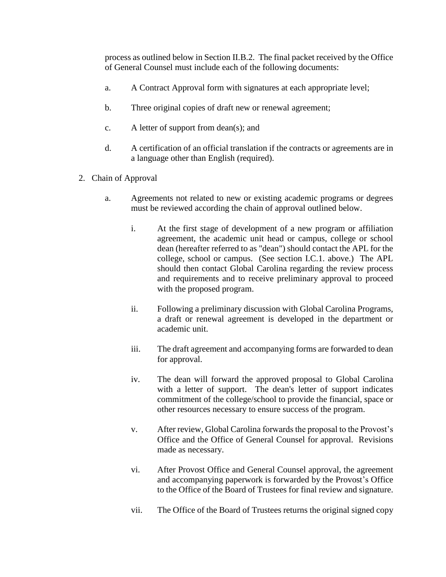process as outlined below in Section II.B.2. The final packet received by the Office of General Counsel must include each of the following documents:

- a. A Contract Approval form with signatures at each appropriate level;
- b. Three original copies of draft new or renewal agreement;
- c. A letter of support from dean(s); and
- d. A certification of an official translation if the contracts or agreements are in a language other than English (required).
- 2. Chain of Approval
	- a. Agreements not related to new or existing academic programs or degrees must be reviewed according the chain of approval outlined below.
		- i. At the first stage of development of a new program or affiliation agreement, the academic unit head or campus, college or school dean (hereafter referred to as "dean") should contact the APL for the college, school or campus. (See section I.C.1. above.) The APL should then contact Global Carolina regarding the review process and requirements and to receive preliminary approval to proceed with the proposed program.
		- ii. Following a preliminary discussion with Global Carolina Programs, a draft or renewal agreement is developed in the department or academic unit.
		- iii. The draft agreement and accompanying forms are forwarded to dean for approval.
		- iv. The dean will forward the approved proposal to Global Carolina with a letter of support. The dean's letter of support indicates commitment of the college/school to provide the financial, space or other resources necessary to ensure success of the program.
		- v. After review, Global Carolina forwards the proposal to the Provost's Office and the Office of General Counsel for approval. Revisions made as necessary.
		- vi. After Provost Office and General Counsel approval, the agreement and accompanying paperwork is forwarded by the Provost's Office to the Office of the Board of Trustees for final review and signature.
		- vii. The Office of the Board of Trustees returns the original signed copy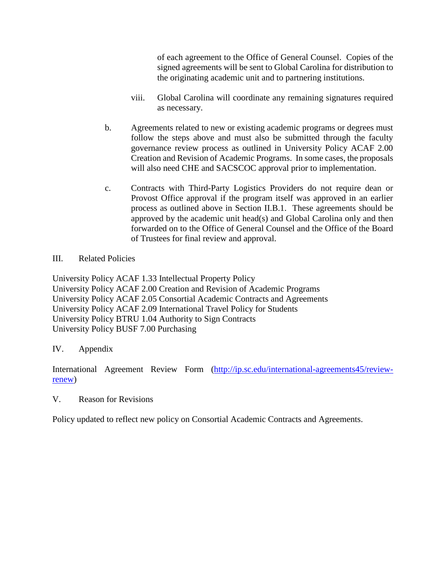of each agreement to the Office of General Counsel. Copies of the signed agreements will be sent to Global Carolina for distribution to the originating academic unit and to partnering institutions.

- viii. Global Carolina will coordinate any remaining signatures required as necessary.
- b. Agreements related to new or existing academic programs or degrees must follow the steps above and must also be submitted through the faculty governance review process as outlined in University Policy ACAF 2.00 Creation and Revision of Academic Programs. In some cases, the proposals will also need CHE and SACSCOC approval prior to implementation.
- c. Contracts with Third-Party Logistics Providers do not require dean or Provost Office approval if the program itself was approved in an earlier process as outlined above in Section II.B.1. These agreements should be approved by the academic unit head(s) and Global Carolina only and then forwarded on to the Office of General Counsel and the Office of the Board of Trustees for final review and approval.
- III. Related Policies

University Policy ACAF 1.33 Intellectual Property Policy University Policy ACAF 2.00 Creation and Revision of Academic Programs University Policy ACAF 2.05 Consortial Academic Contracts and Agreements University Policy ACAF 2.09 International Travel Policy for Students University Policy BTRU 1.04 Authority to Sign Contracts University Policy BUSF 7.00 Purchasing

## IV. Appendix

International Agreement Review Form [\(http://ip.sc.edu/international-agreements45/review](http://ip.sc.edu/international-agreements45/review-renew)[renew\)](http://ip.sc.edu/international-agreements45/review-renew)

V. Reason for Revisions

Policy updated to reflect new policy on Consortial Academic Contracts and Agreements.